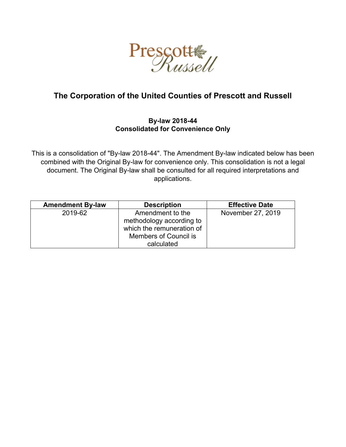

# **The Corporation of the United Counties of Prescott and Russell**

# **By-law 2018-44 Consolidated for Convenience Only**

This is a consolidation of "By-law 2018-44". The Amendment By-law indicated below has been combined with the Original By-law for convenience only. This consolidation is not a legal document. The Original By-law shall be consulted for all required interpretations and applications.

| <b>Amendment By-law</b> | <b>Description</b>           | <b>Effective Date</b> |
|-------------------------|------------------------------|-----------------------|
| 2019-62                 | Amendment to the             | November 27, 2019     |
|                         | methodology according to     |                       |
|                         | which the remuneration of    |                       |
|                         | <b>Members of Council is</b> |                       |
|                         | calculated                   |                       |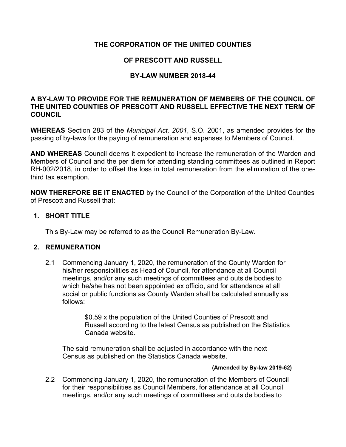# **THE CORPORATION OF THE UNITED COUNTIES**

# **OF PRESCOTT AND RUSSELL**

### **BY-LAW NUMBER 2018-44** \_\_\_\_\_\_\_\_\_\_\_\_\_\_\_\_\_\_\_\_\_\_\_\_\_\_\_\_\_\_\_\_\_\_\_\_\_\_\_\_\_

### **A BY-LAW TO PROVIDE FOR THE REMUNERATION OF MEMBERS OF THE COUNCIL OF THE UNITED COUNTIES OF PRESCOTT AND RUSSELL EFFECTIVE THE NEXT TERM OF COUNCIL**

**WHEREAS** Section 283 of the *Municipal Act, 2001*, S.O. 2001, as amended provides for the passing of by-laws for the paying of remuneration and expenses to Members of Council.

**AND WHEREAS** Council deems it expedient to increase the remuneration of the Warden and Members of Council and the per diem for attending standing committees as outlined in Report RH-002/2018, in order to offset the loss in total remuneration from the elimination of the onethird tax exemption.

**NOW THEREFORE BE IT ENACTED** by the Council of the Corporation of the United Counties of Prescott and Russell that:

### **1. SHORT TITLE**

This By-Law may be referred to as the Council Remuneration By-Law.

### **2. REMUNERATION**

2.1 Commencing January 1, 2020, the remuneration of the County Warden for his/her responsibilities as Head of Council, for attendance at all Council meetings, and/or any such meetings of committees and outside bodies to which he/she has not been appointed ex officio, and for attendance at all social or public functions as County Warden shall be calculated annually as follows:

> \$0.59 x the population of the United Counties of Prescott and Russell according to the latest Census as published on the Statistics Canada website.

The said remuneration shall be adjusted in accordance with the next Census as published on the Statistics Canada website.

#### **(Amended by By-law 2019-62)**

2.2 Commencing January 1, 2020, the remuneration of the Members of Council for their responsibilities as Council Members, for attendance at all Council meetings, and/or any such meetings of committees and outside bodies to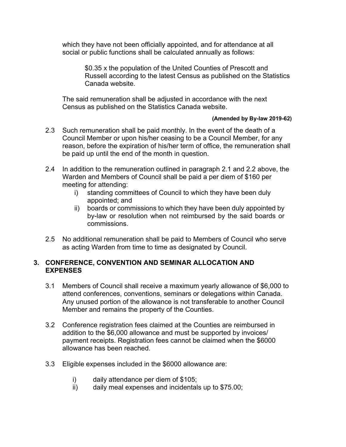which they have not been officially appointed, and for attendance at all social or public functions shall be calculated annually as follows:

> \$0.35 x the population of the United Counties of Prescott and Russell according to the latest Census as published on the Statistics Canada website.

The said remuneration shall be adjusted in accordance with the next Census as published on the Statistics Canada website.

#### **(Amended by By-law 2019-62)**

- 2.3 Such remuneration shall be paid monthly. In the event of the death of a Council Member or upon his/her ceasing to be a Council Member, for any reason, before the expiration of his/her term of office, the remuneration shall be paid up until the end of the month in question.
- 2.4 In addition to the remuneration outlined in paragraph 2.1 and 2.2 above, the Warden and Members of Council shall be paid a per diem of \$160 per meeting for attending:
	- i) standing committees of Council to which they have been duly appointed; and
	- ii) boards or commissions to which they have been duly appointed by by-law or resolution when not reimbursed by the said boards or commissions.
- 2.5 No additional remuneration shall be paid to Members of Council who serve as acting Warden from time to time as designated by Council.

### **3. CONFERENCE, CONVENTION AND SEMINAR ALLOCATION AND EXPENSES**

- 3.1 Members of Council shall receive a maximum yearly allowance of \$6,000 to attend conferences, conventions, seminars or delegations within Canada. Any unused portion of the allowance is not transferable to another Council Member and remains the property of the Counties.
- 3.2 Conference registration fees claimed at the Counties are reimbursed in addition to the \$6,000 allowance and must be supported by invoices/ payment receipts. Registration fees cannot be claimed when the \$6000 allowance has been reached.
- 3.3 Eligible expenses included in the \$6000 allowance are:
	- i) daily attendance per diem of \$105;
	- ii) daily meal expenses and incidentals up to \$75.00;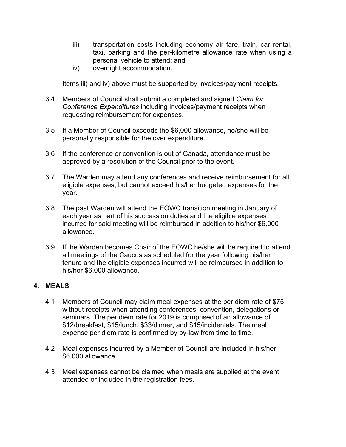- iii) transportation costs including economy air fare, train, car rental, taxi, parking and the per-kilometre allowance rate when using a personal vehicle to attend; and
- iv) overnight accommodation.

Items iii) and iv) above must be supported by invoices/payment receipts.

- 3.4 Members of Council shall submit a completed and signed *Claim for Conference Expenditures* including invoices/payment receipts when requesting reimbursement for expenses.
- 3.5 If a Member of Council exceeds the \$6,000 allowance, he/she will be personally responsible for the over expenditure.
- 3.6 If the conference or convention is out of Canada, attendance must be approved by a resolution of the Council prior to the event.
- 3.7 The Warden may attend any conferences and receive reimbursement for all eligible expenses, but cannot exceed his/her budgeted expenses for the year.
- 3.8 The past Warden will attend the EOWC transition meeting in January of each year as part of his succession duties and the eligible expenses incurred for said meeting will be reimbursed in addition to his/her \$6,000 allowance.
- 3.9 If the Warden becomes Chair of the EOWC he/she will be required to attend all meetings of the Caucus as scheduled for the year following his/her tenure and the eligible expenses incurred will be reimbursed in addition to his/her \$6,000 allowance.

# **4. MEALS**

- 4.1 Members of Council may claim meal expenses at the per diem rate of \$75 without receipts when attending conferences, convention, delegations or seminars. The per diem rate for 2019 is comprised of an allowance of \$12/breakfast, \$15/lunch, \$33/dinner, and \$15/incidentals. The meal expense per diem rate is confirmed by by-law from time to time.
- 4.2 Meal expenses incurred by a Member of Council are included in his/her \$6,000 allowance.
- 4.3 Meal expenses cannot be claimed when meals are supplied at the event attended or included in the registration fees.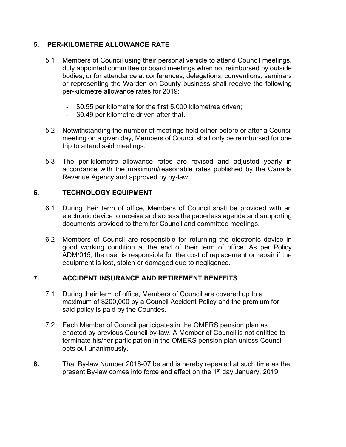# **5. PER-KILOMETRE ALLOWANCE RATE**

- 5.1 Members of Council using their personal vehicle to attend Council meetings, duly appointed committee or board meetings when not reimbursed by outside bodies, or for attendance at conferences, delegations, conventions, seminars or representing the Warden on County business shall receive the following per-kilometre allowance rates for 2019:
	- \$0.55 per kilometre for the first 5,000 kilometres driven;
	- \$0.49 per kilometre driven after that.
- 5.2 Notwithstanding the number of meetings held either before or after a Council meeting on a given day, Members of Council shall only be reimbursed for one trip to attend said meetings.
- 5.3 The per-kilometre allowance rates are revised and adjusted yearly in accordance with the maximum/reasonable rates published by the Canada Revenue Agency and approved by by-law.

### **6. TECHNOLOGY EQUIPMENT**

- 6.1 During their term of office, Members of Council shall be provided with an electronic device to receive and access the paperless agenda and supporting documents provided to them for Council and committee meetings.
- 6.2 Members of Council are responsible for returning the electronic device in good working condition at the end of their term of office. As per Policy ADM/015, the user is responsible for the cost of replacement or repair if the equipment is lost, stolen or damaged due to negligence.

# **7. ACCIDENT INSURANCE AND RETIREMENT BENEFITS**

- 7.1 During their term of office, Members of Council are covered up to a maximum of \$200,000 by a Council Accident Policy and the premium for said policy is paid by the Counties.
- 7.2 Each Member of Council participates in the OMERS pension plan as enacted by previous Council by-law. A Member of Council is not entitled to terminate his/her participation in the OMERS pension plan unless Council opts out unanimously.
- **8.** That By-law Number 2018-07 be and is hereby repealed at such time as the present By-law comes into force and effect on the 1<sup>st</sup> day January, 2019.